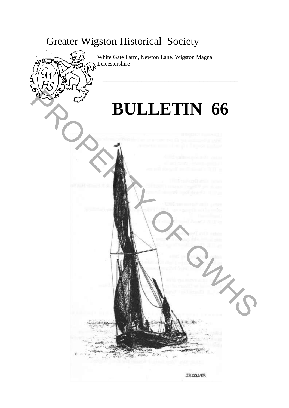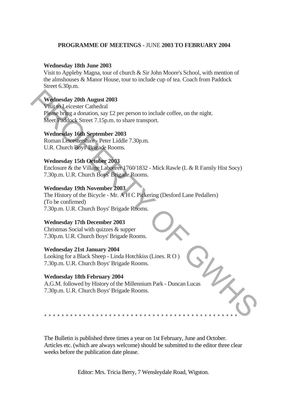## **PROGRAMME OF MEETINGS -** JUNE **2003 TO FEBRUARY 2004**

#### **Wednesday 18th June 2003**

Visit to Appleby Magna, tour of church & Sir John Moore's School, with mention of the almshouses & Manor House, tour to include cup of tea. Coach from Paddock Street 6.30p.m.

## **Wednesday 20th August 2003**

Visit to Leicester Cathedral Please bring a donation, say £2 per person to include coffee, on the night. Meet Paddock Street 7.15p.m. to share transport.

## **Wednesday 16th September 2003**

Roman Leicestershire - Peter Liddle 7.30p.m. U.R. Church Boys' Brigade Rooms.

## **Wednesday 15th October 2003**

Enclosure & the Village Labourer 1760/1832 - Mick Rawle (L & R Family Hist Socy) 7.30p.m. U.R. Church Boys' Brigade Rooms.

#### **Wednesday 19th November 2003**

The History of the Bicycle - Mr. A H C Pickering (Desford Lane Pedallers) (To be confirmed) 7.30p.m. U.R. Church Boys' Brigade Rooms. Weilnesday 20th August 2003<br>
Visit of Leicester Cathedral<br>
Places bring a donation, say 22 per person to include coffee, on the night.<br>
Neet Prodock Street 7.15p.m. to share transport.<br>
Wednesday 16th September 2003<br>
Rouna

#### **Wednesday 17th December 2003**

Christmas Social with quizzes & supper 7.30p.m. U.R. Church Boys' Brigade Rooms.

#### **Wednesday 21st January 2004**

Looking for a Black Sheep - Linda Hotchkiss (Lines. R O ) 7.30p.m. U.R. Church Boys' Brigade Rooms.

#### **Wednesday 18th February 2004**

A.G.M. followed by History of the Millennium Park - Duncan Lucas 7.30p.m. U.R. Church Boys' Brigade Rooms.

\* \* \* \* \* \* \* \* \* \* \* \* \* \* \* \* \* \* \* \* \* \* \* \* \* \* \* \* \* \* \* \* \* \* \* \* \* \* \* \* \* \* \* \* \*

The Bulletin is published three times a year on 1st February, June and October. Articles etc. (which are always welcome) should be submitted to the editor three clear weeks before the publication date please.

Editor: Mrs. Tricia Berry, 7 Wensleydale Road, Wigston.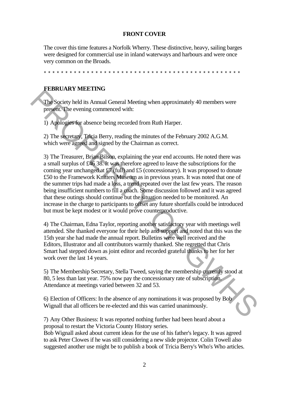#### **FRONT COVER**

The cover this time features a Norfolk Wherry. These distinctive, heavy, sailing barges were designed for commercial use in inland waterways and harbours and were once very common on the Broads.

\*\*\*\*\*\*\*\*\*\*\*\*\*\*\*\*\*\*\*\*\*\*\*\*\*\*\*\*\*\*\*\*\*\*\*\*\*\*\*\*\*\*\*\*\*\*

## **FEBRUARY MEETING**

The Society held its Annual General Meeting when approximately 40 members were present. The evening commenced with:

1) Apologies for absence being recorded from Ruth Harper.

2) The secretary, Tricia Berry, reading the minutes of the February 2002 A.G.M. which were agreed and signed by the Chairman as correct.

3) The Treasurer, Brian Bilson, explaining the year end accounts. He noted there was a small surplus of £46 38. It was therefore agreed to leave the subscriptions for the coming year unchanged at £7 (full) and £5 (concessionary). It was proposed to donate £50 to the Framework Knitters Museum as in previous years. It was noted that one of the summer trips had made a loss, a trend repeated over the last few years. The reason being insufficient numbers to fill a coach. Some discussion followed and it was agreed that these outings should continue but the situation needed to be monitored. An increase in the charge to participants to offset any future shortfalls could be introduced but must be kept modest or it would prove counterproductive. The Society held its Annual General Meeting when approximately 40 members were<br>present below held is Amual General Meeting when approximately 40 members were<br>present. The evening commenced with:<br>
1) Applogies for absence b

4) The Chairman, Edna Taylor, reporting another satisfactory year with meetings well attended. She thanked everyone for their help and support and noted that this was the 15th year she had made the annual report. Bulletins were well received and the Editors, Illustrator and all contributors warmly thanked. She regretted that Chris Smart had stepped down as joint editor and recorded grateful thanks to her for her work over the last 14 years.

5) The Membership Secretary, Stella Tweed, saying the membership currently stood at 80, 5 less than last year. 75% now pay the concessionary rate of subscription. Attendance at meetings varied between 32 and 53.

6) Election of Officers: In the absence of any nominations it was proposed by Bob Wignall that all officers be re-elected and this was carried unanimously.

7) Any Other Business: It was reported nothing further had been heard about a proposal to restart the Victoria County History series.

Bob Wignall asked about current ideas for the use of his father's legacy. It was agreed to ask Peter Clowes if he was still considering a new slide projector. Colin Towell also suggested another use might be to publish a book of Tricia Berry's Who's Who articles.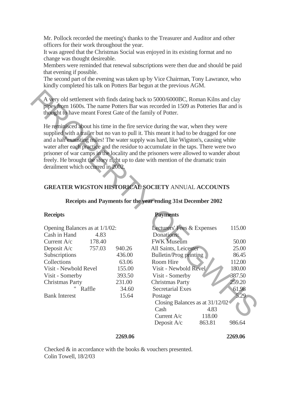Mr. Pollock recorded the meeting's thanks to the Treasurer and Auditor and other officers for their work throughout the year.

It was agreed that the Christmas Social was enjoyed in its existing format and no change was thought desireable.

Members were reminded that renewal subscriptions were then due and should be paid that evening if possible.

The second part of the evening was taken up by Vice Chairman, Tony Lawrance, who kindly completed his talk on Potters Bar begun at the previous AGM.

# **GREATER WIGSTON HISTORICAL SOCIETY** ANNUAL **ACCOUNTS**

## **Receipts and Payments for the year ending 31st December 2002**

| Opening Balances as at 1/1/02: |        |        | Lecturers' Fees & Expenses | 115.00 |
|--------------------------------|--------|--------|----------------------------|--------|
| Cash in Hand                   | 4.83   |        | Donations:                 |        |
| Current $A/c$                  | 178.40 |        | <b>FWK</b> Museum          | 50.00  |
| Deposit A/c                    | 757.03 | 940.26 | All Saints, Leicester      | 25.00  |
| Subscriptions                  |        | 436.00 | Bulletin/Prog printing     | 86.45  |
| Collections                    |        | 63.06  | Room Hire                  | 112.00 |
| Visit - Newbold Revel          |        | 155.00 | Visit - Newbold Revel      | 180.00 |
| Visit - Somerby                |        | 393.50 | Visit - Somerby            | 387.50 |
| <b>Christmas Party</b>         |        | 231.00 | <b>Christmas Party</b>     | 259.20 |
|                                | Raffle | 34.60  | <b>Secretarial Exes</b>    | 61.98  |
| <b>Bank Interest</b>           |        | 15.64  | Postage                    | 5.29   |

## **Receipts Payments**

| A very old settlement with finds dating back to 5000/6000BC, Roman Kilns and clay<br>pipes from 1600s. The name Potters Bar was recorded in 1509 as Potteries Bar and is<br>thought to have meant Forest Gate of the family of Potter.<br>He reminisced about his time in the fire service during the war, when they were<br>supplied with a trailer but no van to pull it. This meant it had to be dragged for one<br>and a hah <sup>0</sup> exausting miles! The water supply was hard, like Wigston's, causing white<br>water after each practice and the residue to accumulate in the taps. There were two<br>prisoner of war camps in the locality and the prisoners were allowed to wander about<br>freely. He brought the story right up to date with mention of the dramatic train<br>derailment which occurred in 2002.<br><b>GREATER WIGSTON HISTORICAL SOCIETY ANNUAL ACCOUNTS</b> |                                                                           |                                                                                                                                                                                                                                                                                                                                                           |                                                                                                      |  |  |  |  |
|-----------------------------------------------------------------------------------------------------------------------------------------------------------------------------------------------------------------------------------------------------------------------------------------------------------------------------------------------------------------------------------------------------------------------------------------------------------------------------------------------------------------------------------------------------------------------------------------------------------------------------------------------------------------------------------------------------------------------------------------------------------------------------------------------------------------------------------------------------------------------------------------------|---------------------------------------------------------------------------|-----------------------------------------------------------------------------------------------------------------------------------------------------------------------------------------------------------------------------------------------------------------------------------------------------------------------------------------------------------|------------------------------------------------------------------------------------------------------|--|--|--|--|
| Receipts and Payments for the year ending 31st December 2002                                                                                                                                                                                                                                                                                                                                                                                                                                                                                                                                                                                                                                                                                                                                                                                                                                  |                                                                           |                                                                                                                                                                                                                                                                                                                                                           |                                                                                                      |  |  |  |  |
| <b>Receipts</b>                                                                                                                                                                                                                                                                                                                                                                                                                                                                                                                                                                                                                                                                                                                                                                                                                                                                               |                                                                           | <b>Payments</b>                                                                                                                                                                                                                                                                                                                                           |                                                                                                      |  |  |  |  |
| Opening Balances as at 1/1/02:<br>Cash in Hand<br>4.83<br>Current A/c<br>178.40<br>Deposit A/c<br>757.03<br>Subscriptions<br>Collections<br>Visit - Newbold Revel<br>Visit - Somerby<br><b>Christmas Party</b><br>Raffle<br><b>Bank Interest</b>                                                                                                                                                                                                                                                                                                                                                                                                                                                                                                                                                                                                                                              | 940.26<br>436.00<br>63.06<br>155.00<br>393.50<br>231.00<br>34.60<br>15.64 | Lecturers' Fees & Expenses<br>Donations:<br><b>FWK Museum</b><br>All Saints, Leicester<br><b>Bulletin/Prog printing</b><br>Room Hire<br>Visit - Newbold Revel<br>Visit - Somerby<br><b>Christmas Party</b><br><b>Secretarial Exes</b><br>Postage<br>Closing Balances as at $31/12/02$<br>4.83<br>Cash<br>Current $A/c$<br>118.00<br>Deposit A/c<br>863.81 | 115.00<br>50.00<br>25.00<br>86.45<br>112.00<br>180.00<br>387.50<br>259.20<br>61.98<br>5.29<br>986.64 |  |  |  |  |

#### **2269.06 2269.06**

Checked & in accordance with the books & vouchers presented. Colin Towell, 18/2/03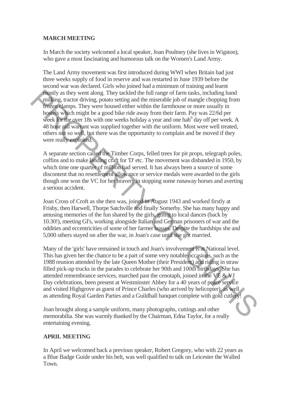# **MARCH MEETING**

In March the society welcomed a local speaker, Joan Poultney (she lives in Wigston), who gave a most fascinating and humorous talk on the Women's Land Army.

The Land Army movement was first introduced during WWI when Britain had just three weeks supply of food in reserve and was restarted in June 1939 before the second war was declared. Girls who joined had a minimum of training and learnt mostly as they went along. They tackled the full range of farm tasks, including hand milking, tractor driving, potato setting and the miserable job of mangle chopping from frozen clamps. They were housed either within the farmhouse or more usually in hostels which might be a good bike ride away from their farm. Pay was 22/6d per week for the over 18s with one weeks holiday a year and one hah<sup>0</sup> day off per week. A 48 hour rail warrant was supplied together with the uniform. Most were well treated, others not so well, but there was the opportunity to complain and be moved if they were really exploited.

A separate section called the Timber Corps, felled trees for pit props, telegraph poles, coffins and to make landing craft for 'D' etc. The movement was disbanded in 1950, by which time one quarter of million had served. It has always been a source of some discontent that no resettlement allowance or service medals were awarded to the girls though one won the VC for her bravery in stopping some runaway horses and averting a serious accident.

Joan Cross of Croft as she then was, joined in August 1943 and worked firstly at Frisby, then Harwell, Thorpe Satchville and finally Somerby. She has many happy and amusing memories of the fun shared by the girls, going to local dances (back by 10.30!), meeting GI's, working alongside Italian and German prisoners of war and the oddities and eccentricities of some of her farmer bosses. Despite the hardships she and 5,000 others stayed on after the war, in Joan's case until she got married.

Many of the 'girls' have remained in touch and Joan's involvement is at National level. This has given her the chance to be a part of some very notable occasions, such as the 1988 reunion attended by the late Queen Mother (their President) and riding in straw filled pick-up trucks in the parades to celebrate her 90th and 100th birthdays. She has attended remembrance services, marched past the cenotaph, joined in the VE & VJ Day celebrations, been present at Westminster Abbey for a 40 years of peace service and visited Highgrove as guest of Prince Charles (who arrived by helicopter), as well as attending Royal Garden Parties and a Guildhall banquet complete with gold cutlery! matrix as they went along. They tackeded the full range of farm tasks, including hand<br>rulling, meator driving, potato setting and the misserable job of mangle chopping from<br>Forey-Bamps. They were boused either within the

Joan brought along a sample uniform, many photographs, cuttings and other memorabilia. She was warmly thanked by the Chairman, Edna Taylor, for a really entertaining evening.

# **APRIL MEETING**

In April we welcomed back a previous speaker, Robert Gregory, who with 22 years as a Blue Badge Guide under his belt, was well qualified to talk on Leicester the Walled Town.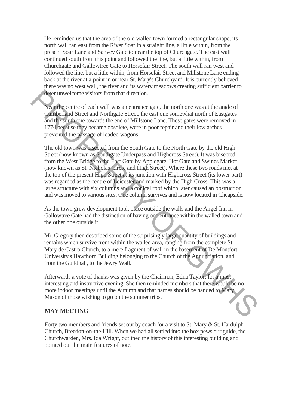He reminded us that the area of the old walled town formed a rectangular shape, its north wall ran east from the River Soar in a straight line, a little within, from the present Soar Lane and Sanvey Gate to near the top of Churchgate. The east wall continued south from this point and followed the line, but a little within, from Churchgate and Gallowtree Gate to Horsefair Street. The south wall ran west and followed the line, but a little within, from Horsefair Street and Millstone Lane ending back at the river at a point in or near St. Mary's Churchyard. It is currently believed there was no west wall, the river and its watery meadows creating sufficient barrier to deter unwelcome visitors from that direction.

Near the centre of each wall was an entrance gate, the north one was at the angle of Cumberland Street and Northgate Street, the east one somewhat north of Eastgates and the south one towards the end of Millstone Lane. These gates were removed in 1774 because they became obsolete, were in poor repair and their low arches prevented the passage of loaded wagons.

The old town was bisected from the South Gate to the North Gate by the old High Street (now known as Southgate Underpass and Highcross Street). It was bisected from the West Bridge to the East Gate by Applegate, Hot Gate and Swines Market (now known as St. Nicholas Circle and High Street). Where these two roads met at the top of the present High Street at its junction with Highcross Street (its lower part) was regarded as the centre of Leicester and marked by the High Cross. This was a large structure with six columns and a conical roof which later caused an obstruction and was moved to various sites. One column survives and is now located in Cheapside. These transformations from that direction.<br>
Nearthe centre of each wall was an entrance gate, the north one was at the angle of<br> **Comberting Street and Northgate Street**, the east one somewhat north of Fastgates<br>
and the s

As the town grew development took place outside the walls and the Angel Inn in Gallowtree Gate had the distinction of having one entrance within the walled town and the other one outside it.

Mr. Gregory then described some of the surprisingly large quantity of buildings and remains which survive from within the walled area, ranging from the complete St. Mary de Castro Church, to a mere fragment of wall in the basement of De Montfort University's Hawthorn Building belonging to the Church of the Annunciation, and from the Guildhall, to the Jewry Wall.

Afterwards a vote of thanks was given by the Chairman, Edna Taylor, for a most interesting and instructive evening. She then reminded members that there would be no more indoor meetings until the Autumn and that names should be handed to Mary Mason of those wishing to go on the summer trips.

# **MAY MEETING**

Forty two members and friends set out by coach for a visit to St. Mary & St. Hardulph Church, Breedon-on-the-Hill. When we had all settled into the box pews our guide, the Churchwarden, Mrs. Ida Wright, outlined the history of this interesting building and pointed out the main features of note.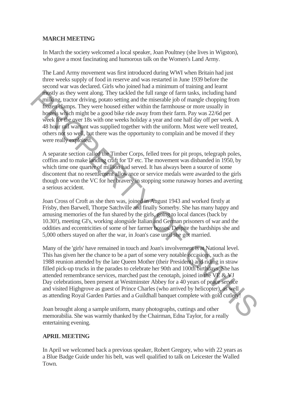# **MARCH MEETING**

In March the society welcomed a local speaker, Joan Poultney (she lives in Wigston), who gave a most fascinating and humorous talk on the Women's Land Army.

The Land Army movement was first introduced during WWI when Britain had just three weeks supply of food in reserve and was restarted in June 1939 before the second war was declared. Girls who joined had a minimum of training and learnt mostly as they went along. They tackled the full range of farm tasks, including hand milking, tractor driving, potato setting and the miserable job of mangle chopping from frozen clamps. They were housed either within the farmhouse or more usually in hostels which might be a good bike ride away from their farm. Pay was 22/6d per week for the over 18s with one weeks holiday a year and one half day off per week. A 48 hour rail warrant was supplied together with the uniform. Most were well treated, others not so well, but there was the opportunity to complain and be moved if they were really exploited.

A separate section called the Timber Corps, felled trees for pit props, telegraph poles, coffins and to make landing craft for 'D' etc. The movement was disbanded in 1950, by which time one quarter of million had served. It has always been a source of some discontent that no resettlement allowance or service medals were awarded to the girls though one won the VC for her bravery in stopping some runaway horses and averting a serious accident.

Joan Cross of Croft as she then was, joined in August 1943 and worked firstly at Frisby, then Barwell, Thorpe Satchville and finally Somerby. She has many happy and amusing memories of the fun shared by the girls, going to local dances (back by 10.30!), meeting GI's, working alongside Italian and German prisoners of war and the oddities and eccentricities of some of her farmer bosses. Despite the hardships she and 5,000 others stayed on after the war, in Joan's case until she got married.

Many of the 'girls' have remained in touch and Joan's involvement is at National level. This has given her the chance to be a part of some very notable occasions, such as the 1988 reunion attended by the late Queen Mother (their President) and riding in straw filled pick-up trucks in the parades to celebrate her 90th and 100th birthdays. She has attended remembrance services, marched past the cenotaph, joined in the VE & VJ Day celebrations, been present at Westminster Abbey for a 40 years of peace service and visited Highgrove as guest of Prince Charles (who arrived by helicopter), as well as attending Royal Garden Parties and a Guildhall banquet complete with gold cutlery! **Fractive** as they went along. They tacked the full range of farm tasks, including that the product in the product in the appear of the mission of the product of the spectral particles within the farmhouse or more usually

Joan brought along a sample uniform, many photographs, cuttings and other memorabilia. She was warmly thanked by the Chairman, Edna Taylor, for a really entertaining evening.

# **APRIL MEETING**

In April we welcomed back a previous speaker, Robert Gregory, who with 22 years as a Blue Badge Guide under his belt, was well qualified to talk on Leicester the Walled Town.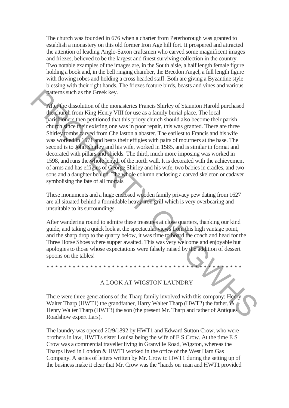The church was founded in 676 when a charter from Peterborough was granted to establish a monastery on this old former Iron Age hill fort. It prospered and attracted the attention of leading Anglo-Saxon craftsmen who carved some magnificent images and friezes, believed to be the largest and finest surviving collection in the country. Two notable examples of the images are, in the South aisle, a half length female figure holding a book and, in the bell ringing chamber, the Breedon Angel, a full length figure with flowing robes and holding a cross headed staff. Both are giving a Byzantine style blessing with their right hands. The friezes feature birds, beasts and vines and various patterns such as the Greek key.

After the dissolution of the monasteries Francis Shirley of Staunton Harold purchased the church from King Henry VIII for use as a family burial place. The local parishioners then petitioned that this priory church should also become their parish church since their existing one was in poor repair, this was granted. There are three Shirley tombs carved from Chellaston alabaster. The earliest to Francis and his wife was worked in 1571 and bears their effigies with pairs of mourners at the base. The second is to John Shirley and his wife, worked in 1585, and is similar in format and decorated with pillars and shields. The third, much more imposing was worked in 1598, and runs the whole length of the north wall. It is decorated with the achievement of arms and has effigies of George Shirley and his wife, two babies in cradles, and two sons and a daughter behind. The whole column enclosing a carved skeleton or cadaver symbolising the fate of all mortals. Patterns such as the Greek key.<br>
Affer the dissolution of the monasteries Francis Shirley of Staunton Harold purchased<br>
The church from King Henry VIII for use as a family burial place. The local<br>
park different particles

These monuments and a huge enclosed wooden family privacy pew dating from 1627 are all situated behind a formidable heavy iron grill which is very overbearing and unsuitable to its surroundings.

After wandering round to admire these treasures at close quarters, thanking our kind guide, and taking a quick look at the spectacular views from this high vantage point, and the sharp drop to the quarry below, it was time to board the coach and head for the Three Horse Shoes where supper awaited. This was very welcome and enjoyable but apologies to those whose expectations were falsely raised by the addition of dessert spoons on the tables!

#### A LOOK AT WIGSTON LAUNDRY

\* \* \* \* \* \* \* \* \* \* \* \* \* \* \* \* \* \* \* \* \* \* \* \* \* \* \* \* \* \* \* \* \* \* \* \* \* \* \* \* \* \* \* \* \*

There were three generations of the Tharp family involved with this company: Henry Walter Tharp (HWT1) the grandfather, Harry Walter Tharp (HWT2) the father,  $\&$ Henry Walter Tharp (HWT3) the son (the present Mr. Tharp and father of Antiques Roadshow expert Lars).

The laundry was opened 20/9/1892 by HWT1 and Edward Sutton Crow, who were brothers in law, HWTl's sister Louisa being the wife of E S Crow. At the time E S Crow was a commercial traveller living in Granville Road, Wigston, whereas the Tharps lived in London & HWT1 worked in the office of the West Ham Gas Company. A series of letters written by Mr. Crow to HWT1 during the setting up of the business make it clear that Mr. Crow was the "hands on' man and HWT1 provided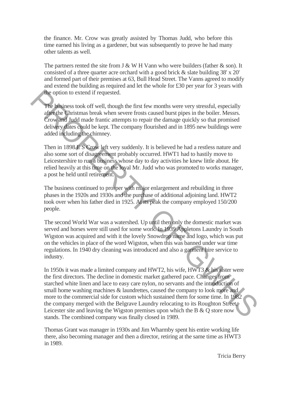the finance. Mr. Crow was greatly assisted by Thomas Judd, who before this time earned his living as a gardener, but was subsequently to prove he had many other talents as well.

The partners rented the site from  $J \& W H V$ ann who were builders (father  $\&$  son). It consisted of a three quarter acre orchard with a good brick & slate building 38' x 20' and formed part of their premises at 63, Bull Head Street. The Vanns agreed to modify and extend the building as required and let the whole for £30 per year for 3 years with the option to extend if requested.

The business took off well, though the first few months were very stressful, especially after the Christmas break when severe frosts caused burst pipes in the boiler. Messrs. Crow and Judd made frantic attempts to repair the damage quickly so that promised delivery dates could be kept. The company flourished and in 1895 new buildings were added including the chimney.

Then in 1898 E S Crow left very suddenly. It is believed he had a restless nature and also some sort of disagreement probably occurred. HWT1 had to hastily move to Leicestershire to run a business whose day to day activities he knew little about. He relied heavily at this time on the loyal Mr. Judd who was promoted to works manager, a post he held until retirement.

The business continued to prosper with major enlargement and rebuilding in three phases in the 1920s and 1930s and the purchase of additional adjoining land. HWT2 took over when his father died in 1925. At its peak the company employed 150/200 people.

The second World War was a watershed. Up until then only the domestic market was served and horses were still used for some work. In 1939 Appletons Laundry in South Wigston was acquired and with it the lovely Snowdrop name and logo, which was put on the vehicles in place of the word Wigston, when this was banned under war time regulations. In 1940 dry cleaning was introduced and also a garment hire service to industry.

In 1950s it was made a limited company and HWT2, his wife, HWT3 & his sister were the first directors. The decline in domestic market gathered pace. Changes from starched white linen and lace to easy care nylon, no servants and the introduction of small home washing machines & laundrettes, caused the company to look more and more to the commercial side for custom which sustained them for some time. In 1982 the company merged with the Belgrave Laundry relocating to its Roughton Street, Leicester site and leaving the Wigston premises upon which the B & Q store now stands. The combined company was finally closed in 1989. The phoinses took off well, though the first few months were very stressful, especially<br>
The phoinses took off well, though the first few months were very stressful, especially<br>
angle the Christmas break when sover frosts

Thomas Grant was manager in 1930s and Jim Wharmby spent his entire working life there, also becoming manager and then a director, retiring at the same time as HWT3 in 1989.

Tricia Berry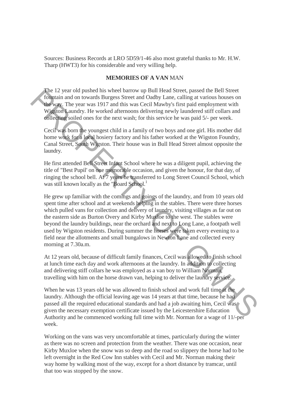Sources: Business Records at LRO 5D59/1-46 also most grateful thanks to Mr. H.W. Tharp (HWT3) for his considerable and very willing help.

## **MEMORIES OF A VAN** MAN

The 12 year old pushed his wheel barrow up Bull Head Street, passed the Bell Street fountain and on towards Burgess Street and Oadby Lane, calling at various houses on the way. The year was 1917 and this was Cecil Mawby's first paid employment with Wigston Laundry. He worked afternoons delivering newly laundered stiff collars and collecting soiled ones for the next wash; for this service he was paid 5/- per week.

Cecil was born the youngest child in a family of two boys and one girl. His mother did home work for a local hosiery factory and his father worked at the Wigston Foundry, Canal Street, South Wigston. Their house was in Bull Head Street almost opposite the laundry.

He first attended Bell Street Infant School where he was a diligent pupil, achieving the title of "Best Pupil' on one memorable occasion, and given the honour, for that day, of ringing the school bell. At 7 years he transferred to Long Street Council School, which was still known locally as the "Board School.<sup>1</sup>

He grew up familiar with the comings and goings of the laundry, and from 10 years old spent time after school and at weekends helping in the stables. There were three horses which pulled vans for collection and delivery of laundry, visiting villages as far out on the eastern side as Burton Overy and Kirby Muxloe to the west. The stables were beyond the laundry buildings, near the orchard and next to Long Lane, a footpath well used by Wigston residents. During summer the horses were taken every evening to a field near the allotments and small bungalows in Newton Lane and collected every morning at 7.30a.m. The 12 year old pushed but well be the move up but liead struct, passed the Beit Street and Conduction and on towards Burgess Street and Ondby Lane, calling at various houses on the sway. The year was 1917 and this was Ce

At 12 years old, because of difficult family finances, Cecil was allowed to finish school at lunch time each day and work afternoons at the laundry. In addition to collecting and delivering stiff collars he was employed as a van boy to William Norman, travelling with him on the horse drawn van, helping to deliver the laundry service.

When he was 13 years old he was allowed to finish school and work full time at the laundry. Although the official leaving age was 14 years at that time, because he had passed all the required educational standards and had a job awaiting him, Cecil was given the necessary exemption certificate issued by the Leicestershire Education Authority and he commenced working full time with Mr. Norman for a wage of 11/-per week.

Working on the vans was very uncomfortable at times, particularly during the winter as there was no screen and protection from the weather. There was one occasion, near Kirby Muxloe when the snow was so deep and the road so slippery the horse had to be left overnight in the Red Cow Inn stables with Cecil and Mr. Norman making their way home by walking most of the way, except for a short distance by tramcar, until that too was stopped by the snow.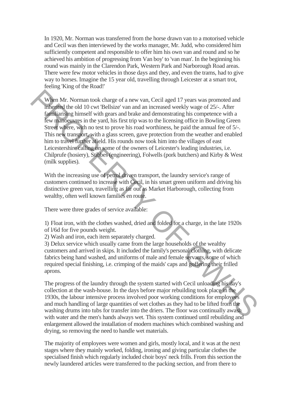In 1920, Mr. Norman was transferred from the horse drawn van to a motorised vehicle and Cecil was then interviewed by the works manager, Mr. Judd, who considered him sufficiently competent and responsible to offer him his own van and round and so he achieved his ambition of progressing from Van boy' to 'van man'. In the beginning his round was mainly in the Clarendon Park, Western Park and Narborough Road areas. There were few motor vehicles in those days and they, and even the trams, had to give way to horses. Imagine the 15 year old, travelling through Leicester at a smart trot, feeling 'King of the Road!'

When Mr. Norman took charge of a new van, Cecil aged 17 years was promoted and inherited the old 10 cwt 'Bellsize' van and an increased weekly wage of 25/-. After familiarising himself with gears and brake and demonstrating his competence with a few manoeuvres in the yard, his first trip was to the licensing office in Bowling Green Street where, with no test to prove his road worthiness, he paid the annual fee of 5/-. This new transport, with a glass screen, gave protection from the weather and enabled him to travel further afield. His rounds now took him into the villages of east Leicestershire calling on some of the owners of Leicester's leading industries, i.e. Chilprufe (hosiery), Stibbes (engineering), Folwells (pork butchers) and Kirby & West (milk supplies). When Mr. Norman took charge of a new van, Cecil aged 17 years was promoted and<br>mixgred the old 10 cwt 'Bellsize' van and an increased weekly wage of 25%. After<br>familiarily missing instead demonstrating his competence with

With the increasing use of petrol driven transport, the laundry service's range of customers continued to increase with Cecil, in his smart green uniform and driving his distinctive green van, travelling as far out as Market Harborough, collecting from wealthy, often well known families en route.

There were three grades of service available:

1) Float iron, with the clothes washed, dried and folded for a charge, in the late 1920s of l/6d for five pounds weight.

2) Wash and iron, each item separately charged.

3) Delux service which usually came from the large households of the wealthy customers and arrived in skips. It included the family's personal clothing, with delicate fabrics being hand washed, and uniforms of male and female servants, some of which required special finishing, i.e. crimping of the maids' caps and goffering their frilled aprons.

The progress of the laundry through the system started with Cecil unloading his day's collection at the wash-house. In the days before major rebuilding took place in the 1930s, the labour intensive process involved poor working conditions for employees and much handling of large quantities of wet clothes as they had to be lifted from the washing drums into tubs for transfer into the driers. The floor was continually awash with water and the men's hands always wet. This system continued until rebuilding and enlargement allowed the installation of modern machines which combined washing and drying, so removing the need to handle wet materials.

The majority of employees were women and girls, mostly local, and it was at the next stages where they mainly worked, folding, ironing and giving particular clothes the specialised finish which regularly included choir boys' neck frills. From this section the newly laundered articles were transferred to the packing section, and from there to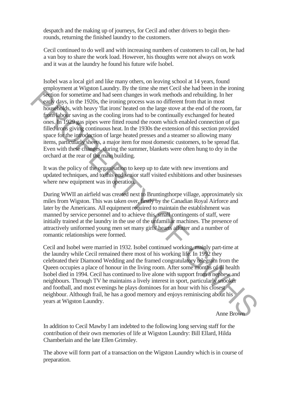despatch and the making up of journeys, for Cecil and other drivers to begin thenrounds, returning the finished laundry to the customers.

Cecil continued to do well and with increasing numbers of customers to call on, he had a van boy to share the work load. However, his thoughts were not always on work and it was at the laundry he found his future wife Isobel.

Isobel was a local girl and like many others, on leaving school at 14 years, found employment at Wigston Laundry. By the time she met Cecil she had been in the ironing section for sometime and had seen changes in work methods and rebuilding. In her early days, in the 1920s, the ironing process was no different from that in most households, with heavy 'flat irons' heated on the large stove at the end of the room, far from labour saving as the cooling irons had to be continually exchanged for heated ones. In 1929 gas pipes were fitted round the room which enabled connection of gas filled irons giving continuous heat. In the 1930s the extension of this section provided space for the introduction of large heated presses and a steamer so allowing many items, particularly sheets, a major item for most domestic customers, to be spread flat. Even with these changes, during the summer, blankets were often hung to dry in the orchard at the rear of the main building. Experiment the total specifical continue in the main term of the system for sometime and had seen changes in work methods and rebuilding. In her easily days, in the 1992b, the froming process was no different from that in

It was the policy of the organisation to keep up to date with new inventions and updated techniques, and to this end senior staff visited exhibitions and other businesses where new equipment was in operation.

During WWII an airfield was created next to Bruntingthorpe village, approximately six miles from Wigston. This was taken over, firstly by the Canadian Royal Airforce and later by the Americans. All equipment required to maintain the establishment was manned by service personnel and to achieve this, small contingents of staff, were initially trained at the laundry in the use of the unfamiliar machines. The presence of attractively uniformed young men set many girls' hearts aflutter and a number of romantic relationships were formed.

Cecil and Isobel were married in 1932. Isobel continued working, mainly part-time at the laundry while Cecil remained there most of his working life. In 1992 they celebrated their Diamond Wedding and the framed congratulatory telegram from the Queen occupies a place of honour in the living room. After some months of ill health Isobel died in 1994. Cecil has continued to live alone with support from a nephew and neighbours. Through TV he maintains a lively interest in sport, particularly snooker and football, and most evenings he plays dominoes for an hour with his closest neighbour. Although frail, he has a good memory and enjoys reminiscing about his years at Wigston Laundry.

Anne Brown

In addition to Cecil Mawby I am indebted to the following long serving staff for the contribution of their own memories of life at Wigston Laundry: Bill Ellard, Hilda Chamberlain and the late Ellen Grimsley.

The above will form part of a transaction on the Wigston Laundry which is in course of preparation.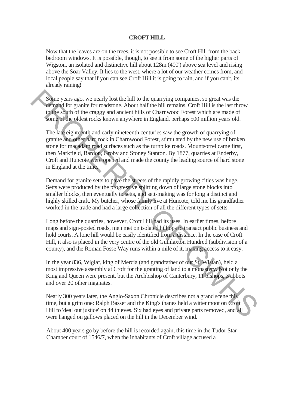## **CROFT HILL**

Now that the leaves are on the trees, it is not possible to see Croft Hill from the back bedroom windows. It is possible, though, to see it from some of the higher parts of Wigston, an isolated and distinctive hill about 128m (400') above sea level and rising above the Soar Valley. It lies to the west, where a lot of our weather comes from, and local people say that if you can see Croft Hill it is going to rain, and if you can't, its already raining!

Some years ago, we nearly lost the hill to the quarrying companies, so great was the demand for granite for roadstone. About half the hill remains. Croft Hill is the last throw to the south of the craggy and ancient hills of Charnwood Forest which are made of some of the oldest rocks known anywhere in England, perhaps 500 million years old.

The late eighteenth and early nineteenth centuries saw the growth of quarrying of granite and other hard rock in Charnwood Forest, stimulated by the new use of broken stone for macadam road surfaces such as the turnpike roads. Mountsorrel came first, then Markfield, Bardon, Groby and Stoney Stanton. By 1877, quarries at Enderby, Croft and Huncote were opened and made the county the leading source of hard stone in England at the time. Some years ago, we nearly lost the hill to the quarrying componies, so great was the<br> **debund** for granite for roodstone. About haft the hill emains. Croft Hill is the last throw<br>
to the south of the crago and ancient hil

Demand for granite setts to pave the streets of the rapidly growing cities was huge. Setts were produced by the progressive splitting down of large stone blocks into smaller blocks, then eventually to setts, and sett-making was for long a distinct and highly skilled craft. My butcher, whose family live at Huncote, told me his grandfather worked in the trade and had a large collection of all the different types of setts.

Long before the quarries, however, Croft Hill had its uses. In earlier times, before maps and sign-posted roads, men met on isolated hilltops to transact public business and hold courts. A lone hill would be easily identified from a distance. In the case of Croft Hill, it also is placed in the very centre of the old Guthlaxton Hundred (subdivision of a county), and the Roman Fosse Way runs within a mile of it, making access to it easy.

In the year 836, Wiglaf, king of Mercia (and grandfather of our St. Wistan), held a most impressive assembly at Croft for the granting of land to a monastery. Not only the King and Queen were present, but the Archbishop of Canterbury, 11 bishops, 3 abbots and over 20 other magnates.

Nearly 300 years later, the Anglo-Saxon Chronicle describes not a grand scene this time, but a grim one: Ralph Basset and the King's thanes held a wittenmoot on Croft Hill to 'deal out justice' on 44 thieves. Six had eyes and private parts removed, and all were hanged on gallows placed on the hill in the December wind.

About 400 years go by before the hill is recorded again, this time in the Tudor Star Chamber court of 1546/7, when the inhabitants of Croft village accused a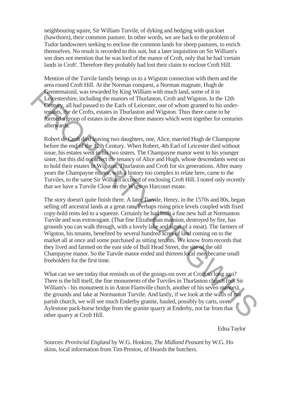neighbouring squire, Sir William Turvile, of dyking and hedging with quickset (hawthorn), their common pasture. In other words, we are back to the problem of Tudor landowners seeking to enclose the common lands for sheep pastures, to enrich themselves. No result is recorded to this suit, but a later inquisition on Sir William's son does not mention that he was lord of the manor of Croft, only that he had 'certain lands in Croft'. Therefore they probably had lost their claim to enclose Croft Hill.

Mention of the Turvile family beings us to a Wigston connection with them and the area round Croft Hill. At the Norman conquest, a Norman magnate, Hugh de Grentemaisnil, was rewarded by King William with much land, some of it in Leicestershire, including the manors of Thurlaston, Croft and Wigston. In the 12th Century, all had passed to the Earls of Leicester, one of whom granted to his undertenants, the de Crofts, estates in Thurlaston and Wigston. Thus there came to be formed a group of estates in the above three manors which went together for centuries afterwards.

Robert de Croft died leaving two daughters, one, Alice, married Hugh de Champayne before the end of the 12th Century. When Robert, 4th Earl of Leicester died without issue, his estates went to his two sisters. The Champayne manor went to his younger sister, but this did not affect the tenancy of Alice and Hugh, whose descendants went on to hold their estates in Wigston, Thurlaston and Croft for six generations. After many years the Champayne manor, with a history too complex to relate here, came to the Turviles, to the same Sir William accused of enclosing Croft Hill. I noted only recently that we have a Turvile Close on the Wigston Harcourt estate.

The story doesn't quite finish there. A later Turvile, Henry, in the 1570s and 80s, began selling off ancestral lands at a great rate. Perhaps rising price levels coupled with fixed copy-hold rents led to a squeeze. Certainly he had built a fine new hall at Normanton Turvile and was extravagant. (That fine Elizabethan mansion, destroyed by fire, has grounds you can walk through, with a lovely lake and signs of a moat). The farmers of Wigston, his tenants, benefited by several hundred acres of land coming on to the market all at once and some purchased as sitting tenants. We know from records that they lived and farmed on the east side of Bull Head Street, the site of the old Champayne manor. So the Turvile manor ended and thirteen local men became small freeholders for the first time. Greenesisning, was rewarded by King William with much land, some of this cheester<br>king and passed on the Early Center Care Conserved by the 12th Center, the de Crofst, saturation and Wigston. The Hall Center, tends are th

What can we see today that reminds us of the goings-on over at Croft so long ago? There is the hill itself, the fine monuments of the Turviles in Thurlaston church (not Sir William's - his monument is in Aston Flamville church, another of his seven manors), the grounds and lake at Normanton Turvile. And lastly, if we look at the walls of our parish church, we will see much Enderby granite, hauled, possibly by carts, over Aylestone pack-horse bridge from the granite quarry at Enderby, not far from that other quarry at Croft Hill.

Edna Taylor

Sources: *Provincial England* by W.G. Hoskins, *The Midland Peasant* by W.G. Ho skins, local information from Tim Preston, of Heards the butchers.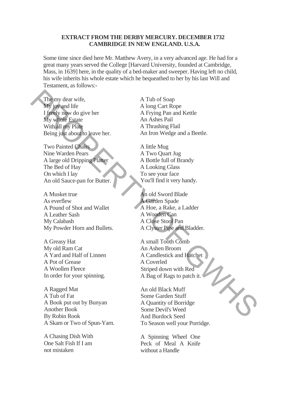## **EXTRACT FROM THE DERBY MERCURY. DECEMBER 1732 CAMBRIDGE IN NEW ENGLAND. U.S.A.**

Some time since died here Mr. Matthew Avery, in a very advanced age. He had for a great many years served the College [Harvard University, founded at Cambridge, Mass, in 1639] here, in the quality of a bed-maker and sweeper. Having left no child, his wife inherits his whole estate which he bequeathed to her by his last Will and Testament, as follows:-

The my dear wife, My joy and life I freely now do give her My whole Estate With all my Plate Being just about to leave her.

Two Painted Chairs Nine Warden Pears A large old Dripping Platter The Bed of Hay On which I lay An old Sauce-pan for Butter. The my dear wife,<br>
My inglest of discussions of the control of Soap<br>
My inglest discussions of the control of the control of the speed of the speed of the speed of the speed of the speed of the speed of the speed of the sp

A Musket true As everflew A Pound of Shot and Wallet A Leather Sash My Calabash My Powder Horn and Bullets.

A Greasy Hat My old Ram Cat A Yard and Half of Linnen A Pot of Grease A Woollen Fleece In order for your spinning.

A Ragged Mat A Tub of Fat A Book put out by Bunyan Another Book By Robin Rook A Skam or Two of Spun-Yarn.

A Chasing Dish With One Salt Fish If I am not mistaken

A Tub of Soap A long Cart Rope A Frying Pan and Kettle An Ashes Pail A Thrashing Flail An Iron Wedge and a Beetle.

A little Mug A Two Quart Jug A Bottle full of Brandy A Looking Glass To see your face You'll find it very handy.

An old Sword Blade A Garden Spade A Hoe, a Rake, a Ladder A Wooden Can A Close Stool Pan A Clyster Pipe and Bladder.

A small Tooth Comb An Ashen Broom A Candlestick and Hatchet A Coverled Striped down with Red A Bag of Rags to patch it.

An old Black Muff Some Garden Stuff A Quantity of Borridge Some Devil's Weed And Burdock Seed To Season well your Porridge.

A Spinning Wheel One Peck of Meal A Knife without a Handle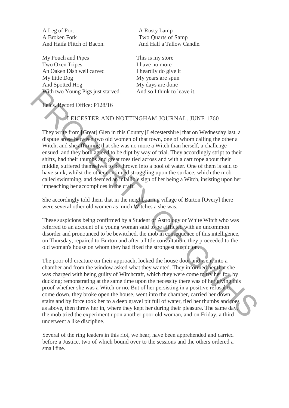A Leg of Port A Rusty Lamp A Broken Fork Two Quarts of Samp

My Pouch and Pipes This is my store Two Oxen Tripes I have no more An Oaken Dish well carved I heartily do give it My little Dog My years are spun And Spotted Hog My days are done With two Young Pigs just starved. And so I think to leave it.

And Haifa Flitch of Bacon. And Half a Tallow Candle.

Leics. Record Office: P128/16

# LEICESTER AND NOTTINGHAM JOURNAL. JUNE 1760

They write from [Great] Glen in this County [Leicestershire] that on Wednesday last, a dispute arose between two old women of that town, one of whom calling the other a Witch, and she affirming that she was no more a Witch than herself, a challenge ensued, and they both agreed to be dipt by way of trial. They accordingly stript to their shifts, had their thumbs and great toes tied across and with a cart rope about their middle, suffered themselves to be thrown into a pool of water. One of them is said to have sunk, whilst the other continued struggling upon the surface, which the mob called swimming, and deemed an infallible sign of her being a Witch, insisting upon her impeaching her accomplices in the craft.

She accordingly told them that in the neighbouring village of Burton [Overy] there were several other old women as much Witches a she was.

These suspicions being confirmed by a Student of Astrology or White Witch who was referred to an account of a young woman said to be afflicted with an uncommon disorder and pronounced to be bewitched, the mob in consequence of this intelligence, on Thursday, repaired to Burton and after a little consultation, they proceeded to the old woman's house on whom they had fixed the strongest suspicion.

The poor old creature on their approach, locked the house door and went into a chamber and from the window asked what they wanted. They informed her that she was charged with being guilty of Witchcraft, which they were come to try her for, by ducking; remonstrating at the same time upon the necessity there was of her giving this proof whether she was a Witch or no. But of her persisting in a positive refusal to come down, they broke open the house, went into the chamber, carried her down stairs and by force took her to a deep gravel pit full of water, tied her thumbs and toes as above, then threw her in, where they kept her during their pleasure. The same day, the mob tried the experiment upon another poor old woman, and on Friday, a third underwent a like discipline. With two Young Pigs just starved. And so I think to leave it.<br>
The second Office: P128/16<br>
They write from IGreat I Glen in this County | Leicestershire| that on Wednesday last, a<br>
dispute ance between woo old women of th

Several of the ring leaders in this riot, we hear, have been apprehended and carried before a Justice, two of which bound over to the sessions and the others ordered a small fine.